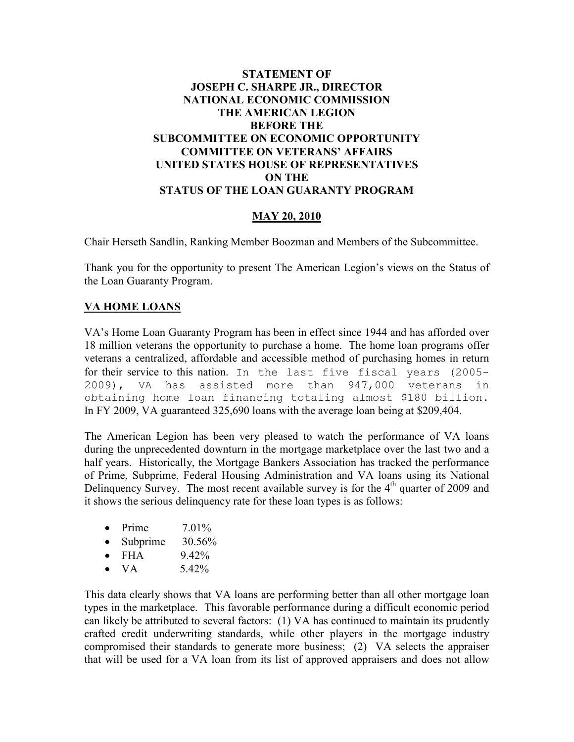## **STATEMENT OF JOSEPH C. SHARPE JR., DIRECTOR NATIONAL ECONOMIC COMMISSION THE AMERICAN LEGION BEFORE THE SUBCOMMITTEE ON ECONOMIC OPPORTUNITY COMMITTEE ON VETERANS' AFFAIRS UNITED STATES HOUSE OF REPRESENTATIVES ON THE STATUS OF THE LOAN GUARANTY PROGRAM**

## **MAY 20, 2010**

Chair Herseth Sandlin, Ranking Member Boozman and Members of the Subcommittee.

Thank you for the opportunity to present The American Legion's views on the Status of the Loan Guaranty Program.

## **VA HOME LOANS**

VA's Home Loan Guaranty Program has been in effect since 1944 and has afforded over 18 million veterans the opportunity to purchase a home. The home loan programs offer veterans a centralized, affordable and accessible method of purchasing homes in return for their service to this nation. In the last five fiscal years (2005- 2009), VA has assisted more than 947,000 veterans in obtaining home loan financing totaling almost \$180 billion. In FY 2009, VA guaranteed 325,690 loans with the average loan being at \$209,404.

The American Legion has been very pleased to watch the performance of VA loans during the unprecedented downturn in the mortgage marketplace over the last two and a half years. Historically, the Mortgage Bankers Association has tracked the performance of Prime, Subprime, Federal Housing Administration and VA loans using its National Delinquency Survey. The most recent available survey is for the  $4<sup>th</sup>$  quarter of 2009 and it shows the serious delinquency rate for these loan types is as follows:

- Prime  $7.01\%$
- Subprime  $30.56\%$
- FHA  $9.42\%$
- VA  $5.42\%$

This data clearly shows that VA loans are performing better than all other mortgage loan types in the marketplace. This favorable performance during a difficult economic period can likely be attributed to several factors: (1) VA has continued to maintain its prudently crafted credit underwriting standards, while other players in the mortgage industry compromised their standards to generate more business; (2) VA selects the appraiser that will be used for a VA loan from its list of approved appraisers and does not allow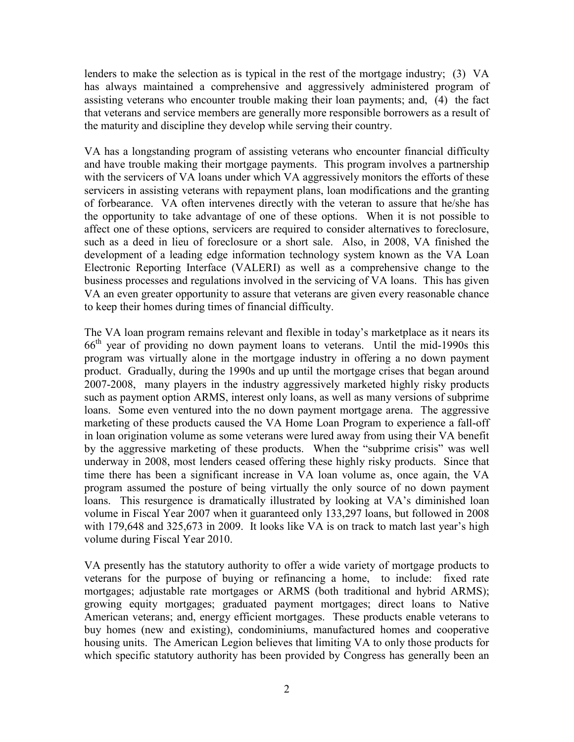lenders to make the selection as is typical in the rest of the mortgage industry; (3) VA has always maintained a comprehensive and aggressively administered program of assisting veterans who encounter trouble making their loan payments; and, (4) the fact that veterans and service members are generally more responsible borrowers as a result of the maturity and discipline they develop while serving their country.

VA has a longstanding program of assisting veterans who encounter financial difficulty and have trouble making their mortgage payments. This program involves a partnership with the servicers of VA loans under which VA aggressively monitors the efforts of these servicers in assisting veterans with repayment plans, loan modifications and the granting of forbearance. VA often intervenes directly with the veteran to assure that he/she has the opportunity to take advantage of one of these options. When it is not possible to affect one of these options, servicers are required to consider alternatives to foreclosure, such as a deed in lieu of foreclosure or a short sale. Also, in 2008, VA finished the development of a leading edge information technology system known as the VA Loan Electronic Reporting Interface (VALERI) as well as a comprehensive change to the business processes and regulations involved in the servicing of VA loans. This has given VA an even greater opportunity to assure that veterans are given every reasonable chance to keep their homes during times of financial difficulty.

The VA loan program remains relevant and flexible in today's marketplace as it nears its  $66<sup>th</sup>$  year of providing no down payment loans to veterans. Until the mid-1990s this program was virtually alone in the mortgage industry in offering a no down payment product. Gradually, during the 1990s and up until the mortgage crises that began around 2007-2008, many players in the industry aggressively marketed highly risky products such as payment option ARMS, interest only loans, as well as many versions of subprime loans. Some even ventured into the no down payment mortgage arena. The aggressive marketing of these products caused the VA Home Loan Program to experience a fall-off in loan origination volume as some veterans were lured away from using their VA benefit by the aggressive marketing of these products. When the "subprime crisis" was well underway in 2008, most lenders ceased offering these highly risky products. Since that time there has been a significant increase in VA loan volume as, once again, the VA program assumed the posture of being virtually the only source of no down payment loans. This resurgence is dramatically illustrated by looking at VA's diminished loan volume in Fiscal Year 2007 when it guaranteed only 133,297 loans, but followed in 2008 with 179,648 and 325,673 in 2009. It looks like VA is on track to match last year's high volume during Fiscal Year 2010.

VA presently has the statutory authority to offer a wide variety of mortgage products to veterans for the purpose of buying or refinancing a home, to include: fixed rate mortgages; adjustable rate mortgages or ARMS (both traditional and hybrid ARMS); growing equity mortgages; graduated payment mortgages; direct loans to Native American veterans; and, energy efficient mortgages. These products enable veterans to buy homes (new and existing), condominiums, manufactured homes and cooperative housing units. The American Legion believes that limiting VA to only those products for which specific statutory authority has been provided by Congress has generally been an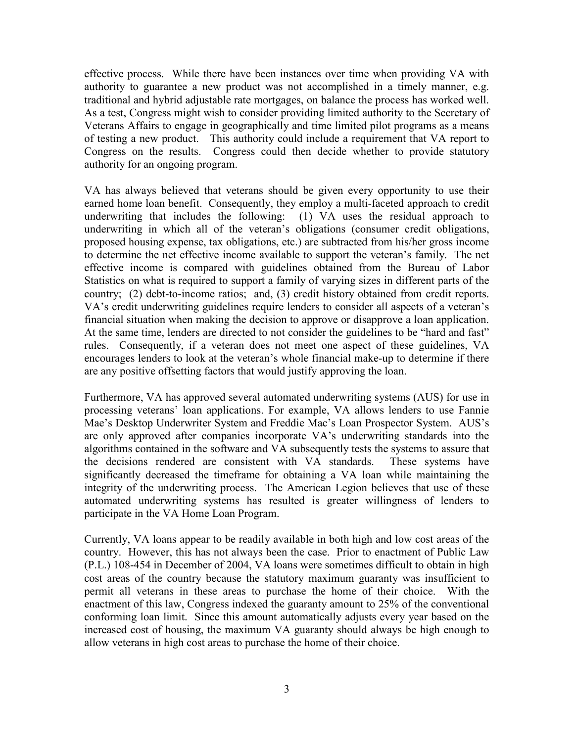effective process. While there have been instances over time when providing VA with authority to guarantee a new product was not accomplished in a timely manner, e.g. traditional and hybrid adjustable rate mortgages, on balance the process has worked well. As a test, Congress might wish to consider providing limited authority to the Secretary of Veterans Affairs to engage in geographically and time limited pilot programs as a means of testing a new product. This authority could include a requirement that VA report to Congress on the results. Congress could then decide whether to provide statutory authority for an ongoing program.

VA has always believed that veterans should be given every opportunity to use their earned home loan benefit. Consequently, they employ a multi-faceted approach to credit underwriting that includes the following: (1) VA uses the residual approach to underwriting in which all of the veteran's obligations (consumer credit obligations, proposed housing expense, tax obligations, etc.) are subtracted from his/her gross income to determine the net effective income available to support the veteran's family. The net effective income is compared with guidelines obtained from the Bureau of Labor Statistics on what is required to support a family of varying sizes in different parts of the country; (2) debt-to-income ratios; and, (3) credit history obtained from credit reports. VA's credit underwriting guidelines require lenders to consider all aspects of a veteran's financial situation when making the decision to approve or disapprove a loan application. At the same time, lenders are directed to not consider the guidelines to be "hard and fast" rules. Consequently, if a veteran does not meet one aspect of these guidelines, VA encourages lenders to look at the veteran's whole financial make-up to determine if there are any positive offsetting factors that would justify approving the loan.

Furthermore, VA has approved several automated underwriting systems (AUS) for use in processing veterans' loan applications. For example, VA allows lenders to use Fannie Mae's Desktop Underwriter System and Freddie Mac's Loan Prospector System. AUS's are only approved after companies incorporate VA's underwriting standards into the algorithms contained in the software and VA subsequently tests the systems to assure that the decisions rendered are consistent with VA standards. These systems have significantly decreased the timeframe for obtaining a VA loan while maintaining the integrity of the underwriting process. The American Legion believes that use of these automated underwriting systems has resulted is greater willingness of lenders to participate in the VA Home Loan Program.

Currently, VA loans appear to be readily available in both high and low cost areas of the country. However, this has not always been the case. Prior to enactment of Public Law (P.L.) 108-454 in December of 2004, VA loans were sometimes difficult to obtain in high cost areas of the country because the statutory maximum guaranty was insufficient to permit all veterans in these areas to purchase the home of their choice. With the enactment of this law, Congress indexed the guaranty amount to 25% of the conventional conforming loan limit. Since this amount automatically adjusts every year based on the increased cost of housing, the maximum VA guaranty should always be high enough to allow veterans in high cost areas to purchase the home of their choice.